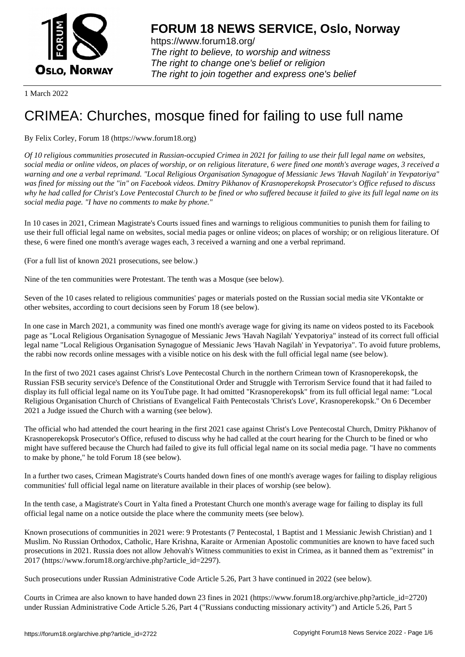

https://www.forum18.org/ The right to believe, to worship and witness The right to change one's belief or religion [The right to join together a](https://www.forum18.org/)nd express one's belief

1 March 2022

# [CRIMEA: Churc](https://www.forum18.org)hes, mosque fined for failing to use full name

## By Felix Corley, Forum 18 (https://www.forum18.org)

*Of 10 religious communities prosecuted in Russian-occupied Crimea in 2021 for failing to use their full legal name on websites, social media or online videos, on places of worship, or on religious literature, 6 were fined one month's average wages, 3 received a warning and one a verbal reprimand. "Local Religious Organisation Synagogue of Messianic Jews 'Havah Nagilah' in Yevpatoriya" was fined for missing out the "in" on Facebook videos. Dmitry Pikhanov of Krasnoperekopsk Prosecutor's Office refused to discuss why he had called for Christ's Love Pentecostal Church to be fined or who suffered because it failed to give its full legal name on its social media page. "I have no comments to make by phone."*

In 10 cases in 2021, Crimean Magistrate's Courts issued fines and warnings to religious communities to punish them for failing to use their full official legal name on websites, social media pages or online videos; on places of worship; or on religious literature. Of these, 6 were fined one month's average wages each, 3 received a warning and one a verbal reprimand.

(For a full list of known 2021 prosecutions, see below.)

Nine of the ten communities were Protestant. The tenth was a Mosque (see below).

Seven of the 10 cases related to religious communities' pages or materials posted on the Russian social media site VKontakte or other websites, according to court decisions seen by Forum 18 (see below).

In one case in March 2021, a community was fined one month's average wage for giving its name on videos posted to its Facebook page as "Local Religious Organisation Synagogue of Messianic Jews 'Havah Nagilah' Yevpatoriya" instead of its correct full official legal name "Local Religious Organisation Synagogue of Messianic Jews 'Havah Nagilah' in Yevpatoriya". To avoid future problems, the rabbi now records online messages with a visible notice on his desk with the full official legal name (see below).

In the first of two 2021 cases against Christ's Love Pentecostal Church in the northern Crimean town of Krasnoperekopsk, the Russian FSB security service's Defence of the Constitutional Order and Struggle with Terrorism Service found that it had failed to display its full official legal name on its YouTube page. It had omitted "Krasnoperekopsk" from its full official legal name: "Local Religious Organisation Church of Christians of Evangelical Faith Pentecostals 'Christ's Love', Krasnoperekopsk." On 6 December 2021 a Judge issued the Church with a warning (see below).

The official who had attended the court hearing in the first 2021 case against Christ's Love Pentecostal Church, Dmitry Pikhanov of Krasnoperekopsk Prosecutor's Office, refused to discuss why he had called at the court hearing for the Church to be fined or who might have suffered because the Church had failed to give its full official legal name on its social media page. "I have no comments to make by phone," he told Forum 18 (see below).

In a further two cases, Crimean Magistrate's Courts handed down fines of one month's average wages for failing to display religious communities' full official legal name on literature available in their places of worship (see below).

In the tenth case, a Magistrate's Court in Yalta fined a Protestant Church one month's average wage for failing to display its full official legal name on a notice outside the place where the community meets (see below).

Known prosecutions of communities in 2021 were: 9 Protestants (7 Pentecostal, 1 Baptist and 1 Messianic Jewish Christian) and 1 Muslim. No Russian Orthodox, Catholic, Hare Krishna, Karaite or Armenian Apostolic communities are known to have faced such prosecutions in 2021. Russia does not allow Jehovah's Witness communities to exist in Crimea, as it banned them as "extremist" in 2017 (https://www.forum18.org/archive.php?article\_id=2297).

Such prosecutions under Russian Administrative Code Article 5.26, Part 3 have continued in 2022 (see below).

Courts in Crimea are also known to have handed down 23 fines in 2021 (https://www.forum18.org/archive.php?article\_id=2720) under Russian Administrative Code Article 5.26, Part 4 ("Russians conducting missionary activity") and Article 5.26, Part 5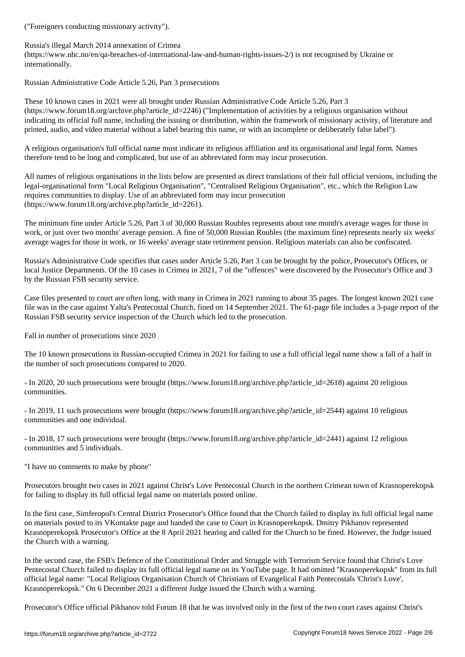Russia's illegal March 2014 annexation of Crimea

(https://www.nhc.no/en/qa-breaches-of-international-law-and-human-rights-issues-2/) is not recognised by Ukraine or internationally.

Russian Administrative Code Article 5.26, Part 3 prosecutions

These 10 known cases in 2021 were all brought under Russian Administrative Code Article 5.26, Part 3 (https://www.forum18.org/archive.php?article\_id=2246) ("Implementation of activities by a religious organisation without indicating its official full name, including the issuing or distribution, within the framework of missionary activity, of literature and printed, audio, and video material without a label bearing this name, or with an incomplete or deliberately false label").

A religious organisation's full official name must indicate its religious affiliation and its organisational and legal form. Names therefore tend to be long and complicated, but use of an abbreviated form may incur prosecution.

All names of religious organisations in the lists below are presented as direct translations of their full official versions, including the legal-organisational form "Local Religious Organisation", "Centralised Religious Organisation", etc., which the Religion Law requires communities to display. Use of an abbreviated form may incur prosecution (https://www.forum18.org/archive.php?article\_id=2261).

The minimum fine under Article 5.26, Part 3 of 30,000 Russian Roubles represents about one month's average wages for those in work, or just over two months' average pension. A fine of 50,000 Russian Roubles (the maximum fine) represents nearly six weeks' average wages for those in work, or 16 weeks' average state retirement pension. Religious materials can also be confiscated.

Russia's Administrative Code specifies that cases under Article 5.26, Part 3 can be brought by the police, Prosecutor's Offices, or local Justice Departments. Of the 10 cases in Crimea in 2021, 7 of the "offences" were discovered by the Prosecutor's Office and 3 by the Russian FSB security service.

Case files presented to court are often long, with many in Crimea in 2021 running to about 35 pages. The longest known 2021 case file was in the case against Yalta's Pentecostal Church, fined on 14 September 2021. The 61-page file includes a 3-page report of the Russian FSB security service inspection of the Church which led to the prosecution.

Fall in number of prosecutions since 2020

The 10 known prosecutions in Russian-occupied Crimea in 2021 for failing to use a full official legal name show a fall of a half in the number of such prosecutions compared to 2020.

- In 2020, 20 such prosecutions were brought (https://www.forum18.org/archive.php?article\_id=2618) against 20 religious communities.

- In 2019, 11 such prosecutions were brought (https://www.forum18.org/archive.php?article\_id=2544) against 10 religious communities and one individual.

- In 2018, 17 such prosecutions were brought (https://www.forum18.org/archive.php?article\_id=2441) against 12 religious communities and 5 individuals.

"I have no comments to make by phone"

Prosecutors brought two cases in 2021 against Christ's Love Pentecostal Church in the northern Crimean town of Krasnoperekopsk for failing to display its full official legal name on materials posted online.

In the first case, Simferopol's Central District Prosecutor's Office found that the Church failed to display its full official legal name on materials posted to its VKontakte page and handed the case to Court in Krasnoperekopsk. Dmitry Pikhanov represented Krasnoperekopsk Prosecutor's Office at the 8 April 2021 hearing and called for the Church to be fined. However, the Judge issued the Church with a warning.

In the second case, the FSB's Defence of the Constitutional Order and Struggle with Terrorism Service found that Christ's Love Pentecostal Church failed to display its full official legal name on its YouTube page. It had omitted "Krasnoperekopsk" from its full official legal name: "Local Religious Organisation Church of Christians of Evangelical Faith Pentecostals 'Christ's Love', Krasnoperekopsk." On 6 December 2021 a different Judge issued the Church with a warning.

Prosecutor's Office official Pikhanov told Forum 18 that he was involved only in the first of the two court cases against Christ's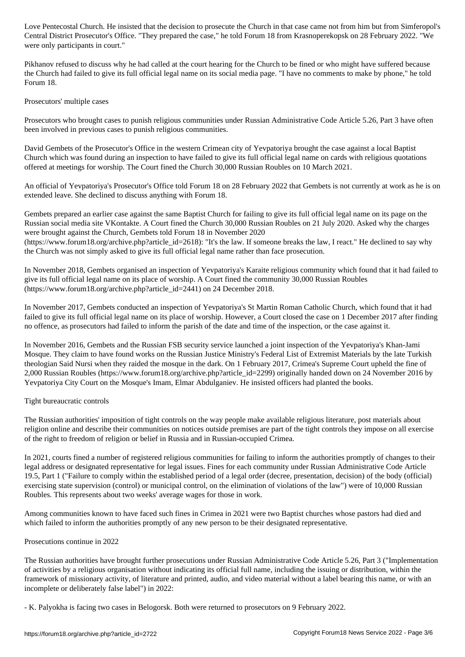Central District Prosecutor's Office. "They prepared the case," he told Forum 18 from Krasnoperekopsk on 28 February 2022. "We were only participants in court."

Pikhanov refused to discuss why he had called at the court hearing for the Church to be fined or who might have suffered because the Church had failed to give its full official legal name on its social media page. "I have no comments to make by phone," he told Forum 18.

## Prosecutors' multiple cases

Prosecutors who brought cases to punish religious communities under Russian Administrative Code Article 5.26, Part 3 have often been involved in previous cases to punish religious communities.

David Gembets of the Prosecutor's Office in the western Crimean city of Yevpatoriya brought the case against a local Baptist Church which was found during an inspection to have failed to give its full official legal name on cards with religious quotations offered at meetings for worship. The Court fined the Church 30,000 Russian Roubles on 10 March 2021.

An official of Yevpatoriya's Prosecutor's Office told Forum 18 on 28 February 2022 that Gembets is not currently at work as he is on extended leave. She declined to discuss anything with Forum 18.

Gembets prepared an earlier case against the same Baptist Church for failing to give its full official legal name on its page on the Russian social media site VKontakte. A Court fined the Church 30,000 Russian Roubles on 21 July 2020. Asked why the charges were brought against the Church, Gembets told Forum 18 in November 2020 (https://www.forum18.org/archive.php?article\_id=2618): "It's the law. If someone breaks the law, I react." He declined to say why the Church was not simply asked to give its full official legal name rather than face prosecution.

In November 2018, Gembets organised an inspection of Yevpatoriya's Karaite religious community which found that it had failed to give its full official legal name on its place of worship. A Court fined the community 30,000 Russian Roubles (https://www.forum18.org/archive.php?article\_id=2441) on 24 December 2018.

In November 2017, Gembets conducted an inspection of Yevpatoriya's St Martin Roman Catholic Church, which found that it had failed to give its full official legal name on its place of worship. However, a Court closed the case on 1 December 2017 after finding no offence, as prosecutors had failed to inform the parish of the date and time of the inspection, or the case against it.

In November 2016, Gembets and the Russian FSB security service launched a joint inspection of the Yevpatoriya's Khan-Jami Mosque. They claim to have found works on the Russian Justice Ministry's Federal List of Extremist Materials by the late Turkish theologian Said Nursi when they raided the mosque in the dark. On 1 February 2017, Crimea's Supreme Court upheld the fine of 2,000 Russian Roubles (https://www.forum18.org/archive.php?article\_id=2299) originally handed down on 24 November 2016 by Yevpatoriya City Court on the Mosque's Imam, Elmar Abdulganiev. He insisted officers had planted the books.

### Tight bureaucratic controls

The Russian authorities' imposition of tight controls on the way people make available religious literature, post materials about religion online and describe their communities on notices outside premises are part of the tight controls they impose on all exercise of the right to freedom of religion or belief in Russia and in Russian-occupied Crimea.

In 2021, courts fined a number of registered religious communities for failing to inform the authorities promptly of changes to their legal address or designated representative for legal issues. Fines for each community under Russian Administrative Code Article 19.5, Part 1 ("Failure to comply within the established period of a legal order (decree, presentation, decision) of the body (official) exercising state supervision (control) or municipal control, on the elimination of violations of the law") were of 10,000 Russian Roubles. This represents about two weeks' average wages for those in work.

Among communities known to have faced such fines in Crimea in 2021 were two Baptist churches whose pastors had died and which failed to inform the authorities promptly of any new person to be their designated representative.

### Prosecutions continue in 2022

The Russian authorities have brought further prosecutions under Russian Administrative Code Article 5.26, Part 3 ("Implementation of activities by a religious organisation without indicating its official full name, including the issuing or distribution, within the framework of missionary activity, of literature and printed, audio, and video material without a label bearing this name, or with an incomplete or deliberately false label") in 2022:

- K. Palyokha is facing two cases in Belogorsk. Both were returned to prosecutors on 9 February 2022.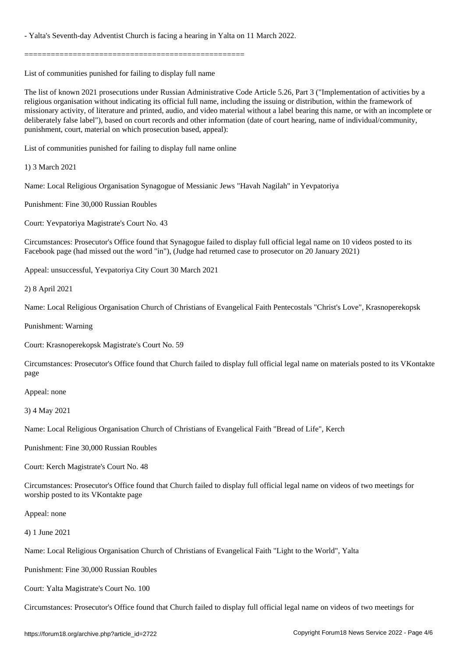- Yalta's Seventh-day Adventist Church is facing a hearing in Yalta on 11 March 2022.

==================================================

List of communities punished for failing to display full name

The list of known 2021 prosecutions under Russian Administrative Code Article 5.26, Part 3 ("Implementation of activities by a religious organisation without indicating its official full name, including the issuing or distribution, within the framework of missionary activity, of literature and printed, audio, and video material without a label bearing this name, or with an incomplete or deliberately false label"), based on court records and other information (date of court hearing, name of individual/community, punishment, court, material on which prosecution based, appeal):

List of communities punished for failing to display full name online

1) 3 March 2021

Name: Local Religious Organisation Synagogue of Messianic Jews "Havah Nagilah" in Yevpatoriya

Punishment: Fine 30,000 Russian Roubles

Court: Yevpatoriya Magistrate's Court No. 43

Circumstances: Prosecutor's Office found that Synagogue failed to display full official legal name on 10 videos posted to its Facebook page (had missed out the word "in"), (Judge had returned case to prosecutor on 20 January 2021)

Appeal: unsuccessful, Yevpatoriya City Court 30 March 2021

2) 8 April 2021

Name: Local Religious Organisation Church of Christians of Evangelical Faith Pentecostals "Christ's Love", Krasnoperekopsk

Punishment: Warning

Court: Krasnoperekopsk Magistrate's Court No. 59

Circumstances: Prosecutor's Office found that Church failed to display full official legal name on materials posted to its VKontakte page

Appeal: none

3) 4 May 2021

Name: Local Religious Organisation Church of Christians of Evangelical Faith "Bread of Life", Kerch

Punishment: Fine 30,000 Russian Roubles

Court: Kerch Magistrate's Court No. 48

Circumstances: Prosecutor's Office found that Church failed to display full official legal name on videos of two meetings for worship posted to its VKontakte page

Appeal: none

4) 1 June 2021

Name: Local Religious Organisation Church of Christians of Evangelical Faith "Light to the World", Yalta

Punishment: Fine 30,000 Russian Roubles

Court: Yalta Magistrate's Court No. 100

Circumstances: Prosecutor's Office found that Church failed to display full official legal name on videos of two meetings for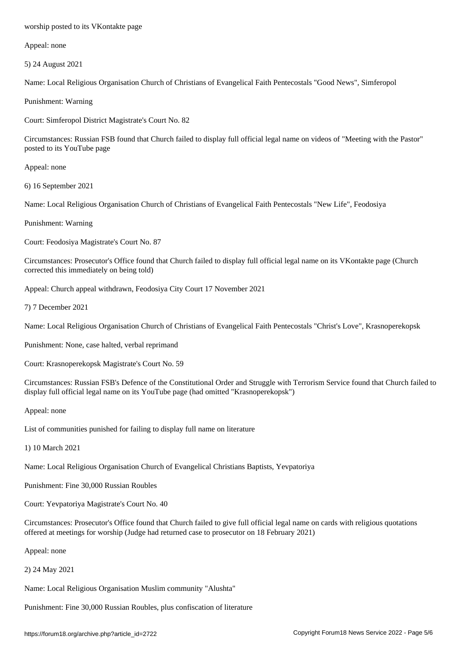Appeal: none

5) 24 August 2021

Name: Local Religious Organisation Church of Christians of Evangelical Faith Pentecostals "Good News", Simferopol

Punishment: Warning

Court: Simferopol District Magistrate's Court No. 82

Circumstances: Russian FSB found that Church failed to display full official legal name on videos of "Meeting with the Pastor" posted to its YouTube page

Appeal: none

6) 16 September 2021

Name: Local Religious Organisation Church of Christians of Evangelical Faith Pentecostals "New Life", Feodosiya

Punishment: Warning

Court: Feodosiya Magistrate's Court No. 87

Circumstances: Prosecutor's Office found that Church failed to display full official legal name on its VKontakte page (Church corrected this immediately on being told)

Appeal: Church appeal withdrawn, Feodosiya City Court 17 November 2021

7) 7 December 2021

Name: Local Religious Organisation Church of Christians of Evangelical Faith Pentecostals "Christ's Love", Krasnoperekopsk

Punishment: None, case halted, verbal reprimand

Court: Krasnoperekopsk Magistrate's Court No. 59

Circumstances: Russian FSB's Defence of the Constitutional Order and Struggle with Terrorism Service found that Church failed to display full official legal name on its YouTube page (had omitted "Krasnoperekopsk")

Appeal: none

List of communities punished for failing to display full name on literature

1) 10 March 2021

Name: Local Religious Organisation Church of Evangelical Christians Baptists, Yevpatoriya

Punishment: Fine 30,000 Russian Roubles

Court: Yevpatoriya Magistrate's Court No. 40

Circumstances: Prosecutor's Office found that Church failed to give full official legal name on cards with religious quotations offered at meetings for worship (Judge had returned case to prosecutor on 18 February 2021)

Appeal: none

2) 24 May 2021

Name: Local Religious Organisation Muslim community "Alushta"

Punishment: Fine 30,000 Russian Roubles, plus confiscation of literature